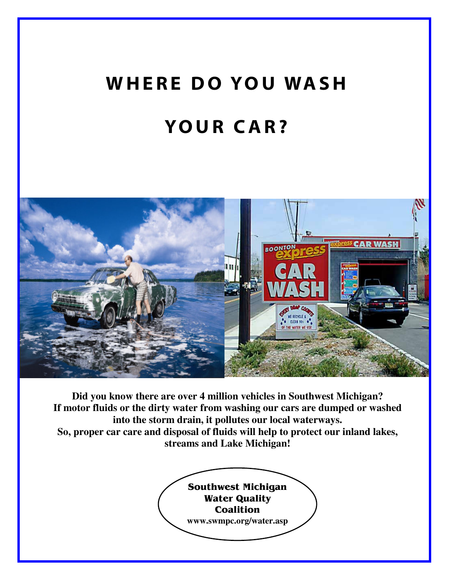## WHERE DO YOU WASH **YOUR CAR?**



**Did you know there are over 4 million vehicles in Southwest Michigan? If motor fluids or the dirty water from washing our cars are dumped or washed into the storm drain, it pollutes our local waterways. So, proper car care and disposal of fluids will help to protect our inland lakes, streams and Lake Michigan!**

> Southwest Michigan **Water Quality Coalition www.swmpc.org/water.asp**